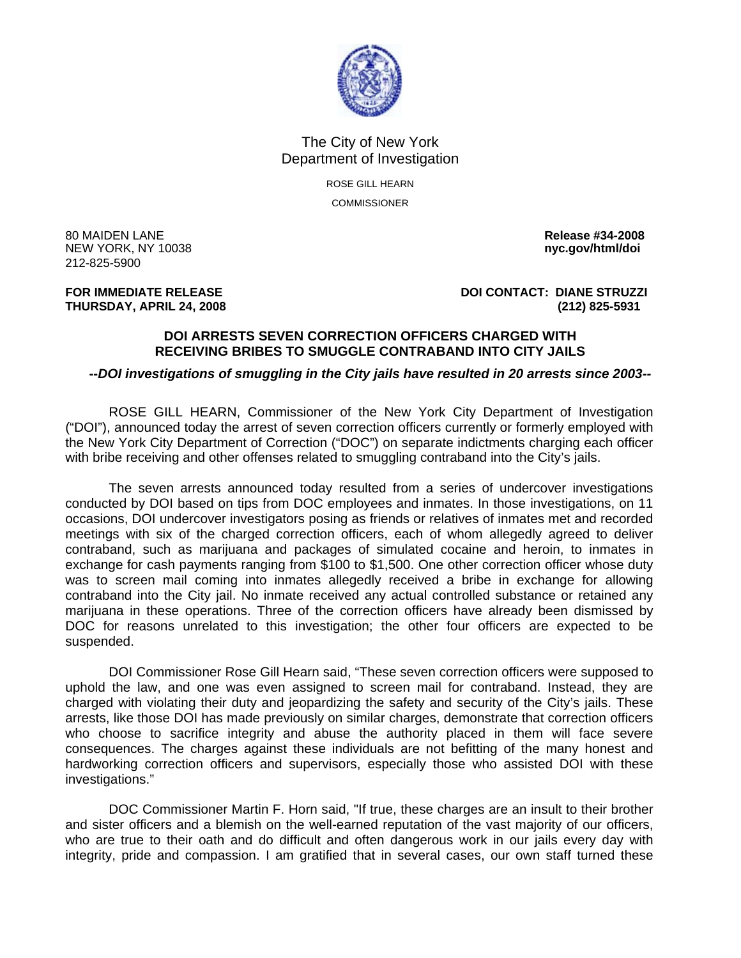

## The City of New York Department of Investigation

ROSE GILL HEARN **COMMISSIONER** 

80 MAIDEN LANE **Release #34-2008 NEW YORK, NY 10038** 212-825-5900

**FOR IMMEDIATE RELEASE DOI CONTACT: DIANE STRUZZI THURSDAY, APRIL 24, 2008 (212) 825-5931** 

## **DOI ARRESTS SEVEN CORRECTION OFFICERS CHARGED WITH RECEIVING BRIBES TO SMUGGLE CONTRABAND INTO CITY JAILS**

## **--***DOI investigations of smuggling in the City jails have resulted in 20 arrests since 2003--*

ROSE GILL HEARN, Commissioner of the New York City Department of Investigation ("DOI"), announced today the arrest of seven correction officers currently or formerly employed with the New York City Department of Correction ("DOC") on separate indictments charging each officer with bribe receiving and other offenses related to smuggling contraband into the City's jails.

The seven arrests announced today resulted from a series of undercover investigations conducted by DOI based on tips from DOC employees and inmates. In those investigations, on 11 occasions, DOI undercover investigators posing as friends or relatives of inmates met and recorded meetings with six of the charged correction officers, each of whom allegedly agreed to deliver contraband, such as marijuana and packages of simulated cocaine and heroin, to inmates in exchange for cash payments ranging from \$100 to \$1,500. One other correction officer whose duty was to screen mail coming into inmates allegedly received a bribe in exchange for allowing contraband into the City jail. No inmate received any actual controlled substance or retained any marijuana in these operations. Three of the correction officers have already been dismissed by DOC for reasons unrelated to this investigation; the other four officers are expected to be suspended.

DOI Commissioner Rose Gill Hearn said, "These seven correction officers were supposed to uphold the law, and one was even assigned to screen mail for contraband. Instead, they are charged with violating their duty and jeopardizing the safety and security of the City's jails. These arrests, like those DOI has made previously on similar charges, demonstrate that correction officers who choose to sacrifice integrity and abuse the authority placed in them will face severe consequences. The charges against these individuals are not befitting of the many honest and hardworking correction officers and supervisors, especially those who assisted DOI with these investigations."

DOC Commissioner Martin F. Horn said, "If true, these charges are an insult to their brother and sister officers and a blemish on the well-earned reputation of the vast majority of our officers, who are true to their oath and do difficult and often dangerous work in our jails every day with integrity, pride and compassion. I am gratified that in several cases, our own staff turned these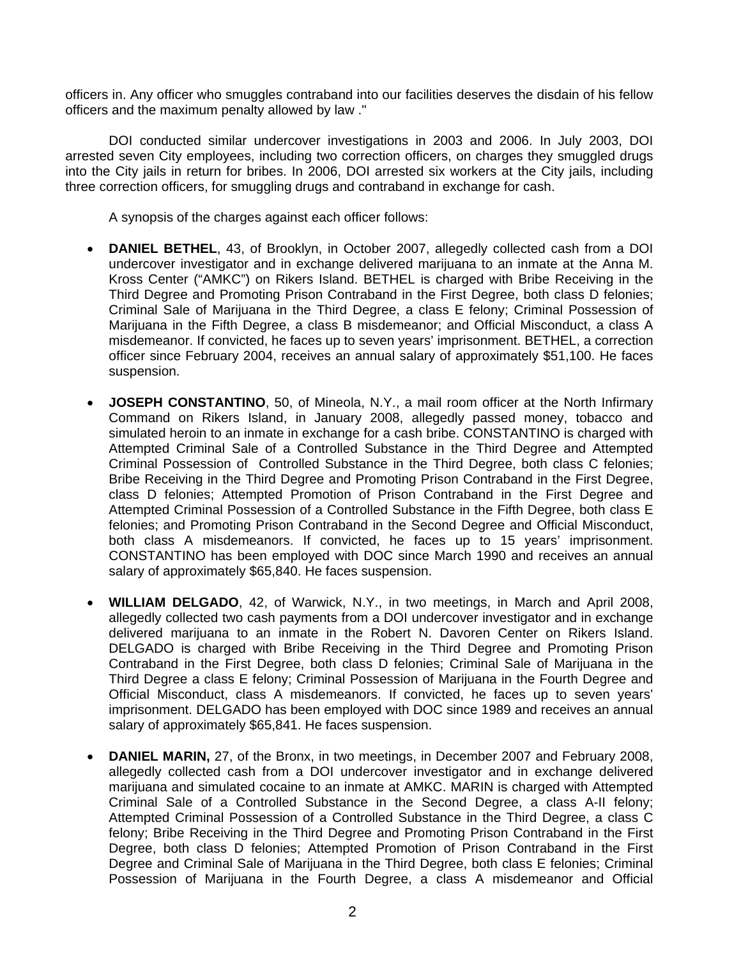officers in. Any officer who smuggles contraband into our facilities deserves the disdain of his fellow officers and the maximum penalty allowed by law ."

DOI conducted similar undercover investigations in 2003 and 2006. In July 2003, DOI arrested seven City employees, including two correction officers, on charges they smuggled drugs into the City jails in return for bribes. In 2006, DOI arrested six workers at the City jails, including three correction officers, for smuggling drugs and contraband in exchange for cash.

A synopsis of the charges against each officer follows:

- **DANIEL BETHEL**, 43, of Brooklyn, in October 2007, allegedly collected cash from a DOI undercover investigator and in exchange delivered marijuana to an inmate at the Anna M. Kross Center ("AMKC") on Rikers Island. BETHEL is charged with Bribe Receiving in the Third Degree and Promoting Prison Contraband in the First Degree, both class D felonies; Criminal Sale of Marijuana in the Third Degree, a class E felony; Criminal Possession of Marijuana in the Fifth Degree, a class B misdemeanor; and Official Misconduct, a class A misdemeanor. If convicted, he faces up to seven years' imprisonment. BETHEL, a correction officer since February 2004, receives an annual salary of approximately \$51,100. He faces suspension.
- **JOSEPH CONSTANTINO**, 50, of Mineola, N.Y., a mail room officer at the North Infirmary Command on Rikers Island, in January 2008, allegedly passed money, tobacco and simulated heroin to an inmate in exchange for a cash bribe. CONSTANTINO is charged with Attempted Criminal Sale of a Controlled Substance in the Third Degree and Attempted Criminal Possession of Controlled Substance in the Third Degree, both class C felonies; Bribe Receiving in the Third Degree and Promoting Prison Contraband in the First Degree, class D felonies; Attempted Promotion of Prison Contraband in the First Degree and Attempted Criminal Possession of a Controlled Substance in the Fifth Degree, both class E felonies; and Promoting Prison Contraband in the Second Degree and Official Misconduct, both class A misdemeanors. If convicted, he faces up to 15 years' imprisonment. CONSTANTINO has been employed with DOC since March 1990 and receives an annual salary of approximately \$65,840. He faces suspension.
- **WILLIAM DELGADO**, 42, of Warwick, N.Y., in two meetings, in March and April 2008, allegedly collected two cash payments from a DOI undercover investigator and in exchange delivered marijuana to an inmate in the Robert N. Davoren Center on Rikers Island. DELGADO is charged with Bribe Receiving in the Third Degree and Promoting Prison Contraband in the First Degree, both class D felonies; Criminal Sale of Marijuana in the Third Degree a class E felony; Criminal Possession of Marijuana in the Fourth Degree and Official Misconduct, class A misdemeanors. If convicted, he faces up to seven years' imprisonment. DELGADO has been employed with DOC since 1989 and receives an annual salary of approximately \$65,841. He faces suspension.
- **DANIEL MARIN,** 27, of the Bronx, in two meetings, in December 2007 and February 2008, allegedly collected cash from a DOI undercover investigator and in exchange delivered marijuana and simulated cocaine to an inmate at AMKC. MARIN is charged with Attempted Criminal Sale of a Controlled Substance in the Second Degree, a class A-II felony; Attempted Criminal Possession of a Controlled Substance in the Third Degree, a class C felony; Bribe Receiving in the Third Degree and Promoting Prison Contraband in the First Degree, both class D felonies; Attempted Promotion of Prison Contraband in the First Degree and Criminal Sale of Marijuana in the Third Degree, both class E felonies; Criminal Possession of Marijuana in the Fourth Degree, a class A misdemeanor and Official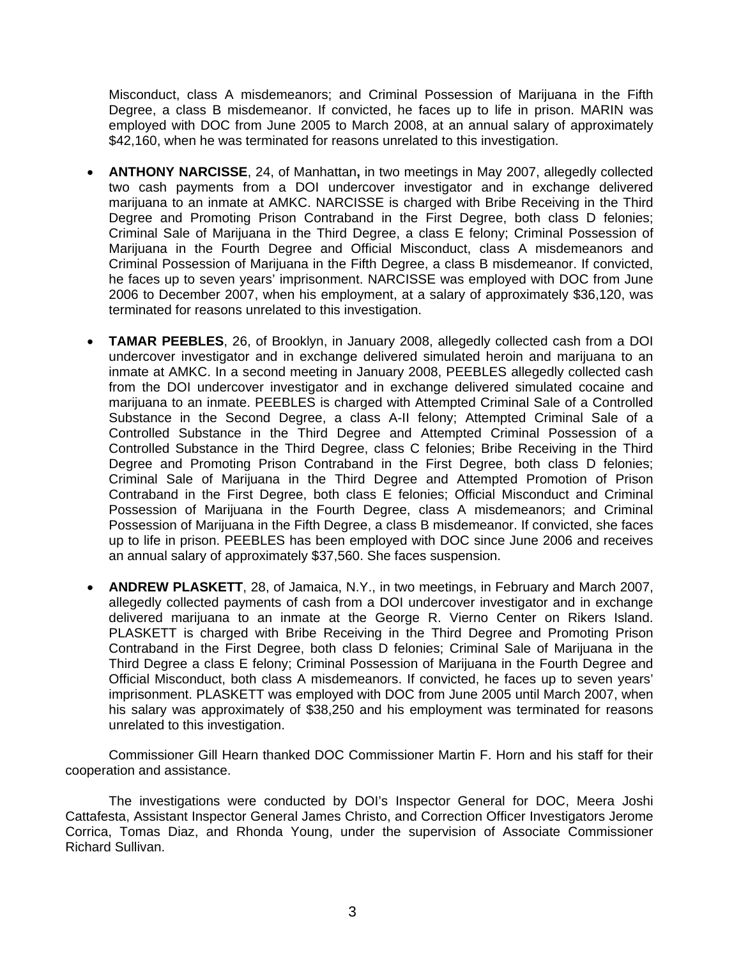Misconduct, class A misdemeanors; and Criminal Possession of Marijuana in the Fifth Degree, a class B misdemeanor. If convicted, he faces up to life in prison. MARIN was employed with DOC from June 2005 to March 2008, at an annual salary of approximately \$42,160, when he was terminated for reasons unrelated to this investigation.

- **ANTHONY NARCISSE**, 24, of Manhattan**,** in two meetings in May 2007, allegedly collected two cash payments from a DOI undercover investigator and in exchange delivered marijuana to an inmate at AMKC. NARCISSE is charged with Bribe Receiving in the Third Degree and Promoting Prison Contraband in the First Degree, both class D felonies; Criminal Sale of Marijuana in the Third Degree, a class E felony; Criminal Possession of Marijuana in the Fourth Degree and Official Misconduct, class A misdemeanors and Criminal Possession of Marijuana in the Fifth Degree, a class B misdemeanor. If convicted, he faces up to seven years' imprisonment. NARCISSE was employed with DOC from June 2006 to December 2007, when his employment, at a salary of approximately \$36,120, was terminated for reasons unrelated to this investigation.
- **TAMAR PEEBLES**, 26, of Brooklyn, in January 2008, allegedly collected cash from a DOI undercover investigator and in exchange delivered simulated heroin and marijuana to an inmate at AMKC. In a second meeting in January 2008, PEEBLES allegedly collected cash from the DOI undercover investigator and in exchange delivered simulated cocaine and marijuana to an inmate. PEEBLES is charged with Attempted Criminal Sale of a Controlled Substance in the Second Degree, a class A-II felony; Attempted Criminal Sale of a Controlled Substance in the Third Degree and Attempted Criminal Possession of a Controlled Substance in the Third Degree, class C felonies; Bribe Receiving in the Third Degree and Promoting Prison Contraband in the First Degree, both class D felonies; Criminal Sale of Marijuana in the Third Degree and Attempted Promotion of Prison Contraband in the First Degree, both class E felonies; Official Misconduct and Criminal Possession of Marijuana in the Fourth Degree, class A misdemeanors; and Criminal Possession of Marijuana in the Fifth Degree, a class B misdemeanor. If convicted, she faces up to life in prison. PEEBLES has been employed with DOC since June 2006 and receives an annual salary of approximately \$37,560. She faces suspension.
- **ANDREW PLASKETT**, 28, of Jamaica, N.Y., in two meetings, in February and March 2007, allegedly collected payments of cash from a DOI undercover investigator and in exchange delivered marijuana to an inmate at the George R. Vierno Center on Rikers Island. PLASKETT is charged with Bribe Receiving in the Third Degree and Promoting Prison Contraband in the First Degree, both class D felonies; Criminal Sale of Marijuana in the Third Degree a class E felony; Criminal Possession of Marijuana in the Fourth Degree and Official Misconduct, both class A misdemeanors. If convicted, he faces up to seven years' imprisonment. PLASKETT was employed with DOC from June 2005 until March 2007, when his salary was approximately of \$38,250 and his employment was terminated for reasons unrelated to this investigation.

Commissioner Gill Hearn thanked DOC Commissioner Martin F. Horn and his staff for their cooperation and assistance.

The investigations were conducted by DOI's Inspector General for DOC, Meera Joshi Cattafesta, Assistant Inspector General James Christo, and Correction Officer Investigators Jerome Corrica, Tomas Diaz, and Rhonda Young, under the supervision of Associate Commissioner Richard Sullivan.